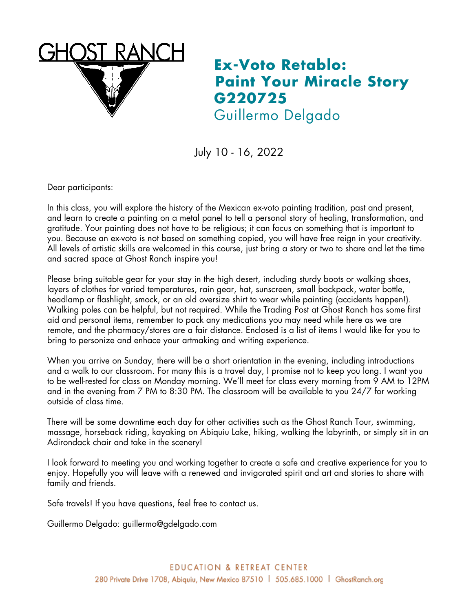

## **Ex-Voto Retablo: Paint Your Miracle Story G220725** Guillermo Delgado

July 10 - 16, 2022

Dear participants:

In this class, you will explore the history of the Mexican ex-voto painting tradition, past and present, and learn to create a painting on a metal panel to tell a personal story of healing, transformation, and gratitude. Your painting does not have to be religious; it can focus on something that is important to you. Because an ex-voto is not based on something copied, you will have free reign in your creativity. All levels of artistic skills are welcomed in this course, just bring a story or two to share and let the time and sacred space at Ghost Ranch inspire you!

Please bring suitable gear for your stay in the high desert, including sturdy boots or walking shoes, layers of clothes for varied temperatures, rain gear, hat, sunscreen, small backpack, water bottle, headlamp or flashlight, smock, or an old oversize shirt to wear while painting (accidents happen!). Walking poles can be helpful, but not required. While the Trading Post at Ghost Ranch has some first aid and personal items, remember to pack any medications you may need while here as we are remote, and the pharmacy/stores are a fair distance. Enclosed is a list of items I would like for you to bring to personize and enhace your artmaking and writing experience.

When you arrive on Sunday, there will be a short orientation in the evening, including introductions and a walk to our classroom. For many this is a travel day, I promise not to keep you long. I want you to be well-rested for class on Monday morning. We'll meet for class every morning from 9 AM to 12PM and in the evening from 7 PM to 8:30 PM. The classroom will be available to you 24/7 for working outside of class time.

There will be some downtime each day for other activities such as the Ghost Ranch Tour, swimming, massage, horseback riding, kayaking on Abiquiu Lake, hiking, walking the labyrinth, or simply sit in an Adirondack chair and take in the scenery!

I look forward to meeting you and working together to create a safe and creative experience for you to enjoy. Hopefully you will leave with a renewed and invigorated spirit and art and stories to share with family and friends.

Safe travels! If you have questions, feel free to contact us.

Guillermo Delgado: guillermo@gdelgado.com